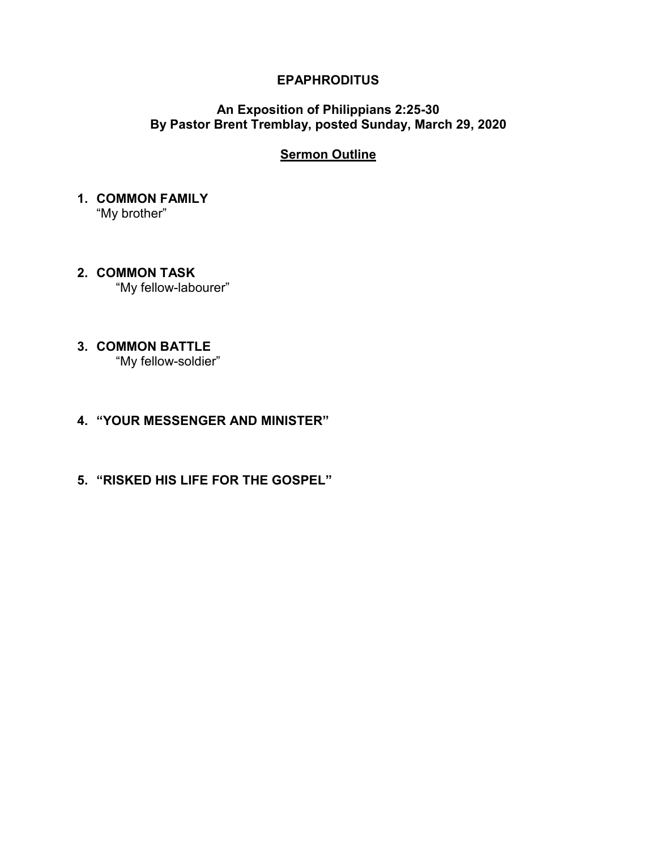### **EPAPHRODITUS**

### **An Exposition of Philippians 2:25-30 By Pastor Brent Tremblay, posted Sunday, March 29, 2020**

## **Sermon Outline**

### **1. COMMON FAMILY**  "My brother"

**2. COMMON TASK**  "My fellow-labourer"

# **3. COMMON BATTLE**

"My fellow-soldier"

## **4. "YOUR MESSENGER AND MINISTER"**

**5. "RISKED HIS LIFE FOR THE GOSPEL"**